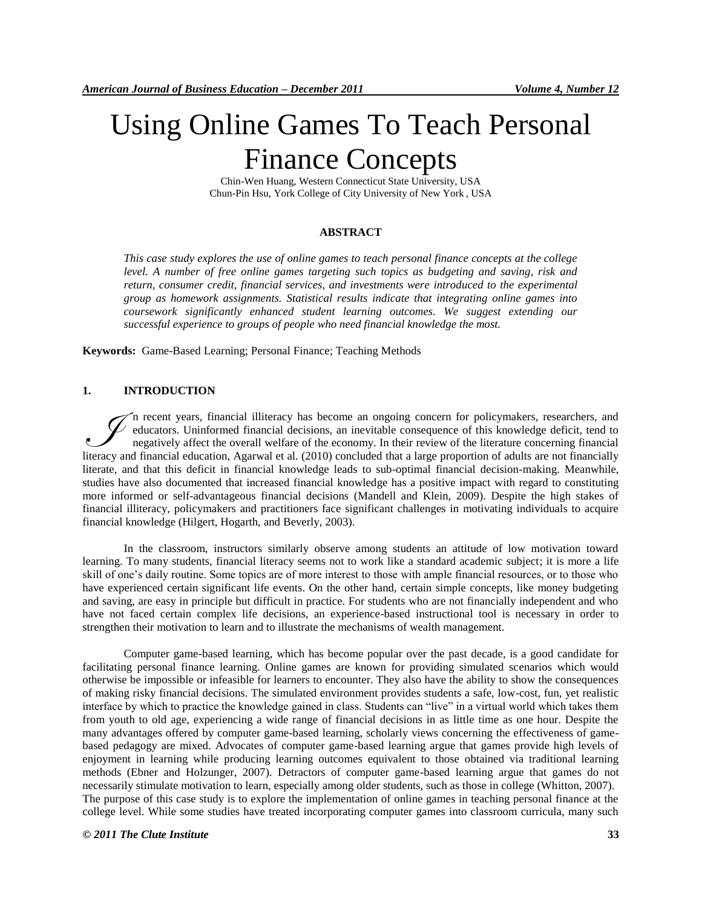# Using Online Games To Teach Personal Finance Concepts

Chin-Wen Huang, Western Connecticut State University, USA Chun-Pin Hsu, York College of City University of New York , USA

## **ABSTRACT**

*This case study explores the use of online games to teach personal finance concepts at the college level. A number of free online games targeting such topics as budgeting and saving, risk and return, consumer credit, financial services, and investments were introduced to the experimental group as homework assignments. Statistical results indicate that integrating online games into coursework significantly enhanced student learning outcomes. We suggest extending our successful experience to groups of people who need financial knowledge the most.* 

**Keywords:** Game-Based Learning; Personal Finance; Teaching Methods

## **1. INTRODUCTION**

n recent years, financial illiteracy has become an ongoing concern for policymakers, researchers, and educators. Uninformed financial decisions, an inevitable consequence of this knowledge deficit, tend to negatively affect the overall welfare of the economy. In their review of the literature concerning financial If recent years, financial illiteracy has become an ongoing concern for policymakers, researchers, and educators. Uninformed financial decisions, an inevitable consequence of this knowledge deficit, tend to negatively affe literate, and that this deficit in financial knowledge leads to sub-optimal financial decision-making. Meanwhile, studies have also documented that increased financial knowledge has a positive impact with regard to constituting more informed or self-advantageous financial decisions (Mandell and Klein, 2009). Despite the high stakes of financial illiteracy, policymakers and practitioners face significant challenges in motivating individuals to acquire financial knowledge (Hilgert, Hogarth, and Beverly, 2003).

In the classroom, instructors similarly observe among students an attitude of low motivation toward learning. To many students, financial literacy seems not to work like a standard academic subject; it is more a life skill of one's daily routine. Some topics are of more interest to those with ample financial resources, or to those who have experienced certain significant life events. On the other hand, certain simple concepts, like money budgeting and saving, are easy in principle but difficult in practice. For students who are not financially independent and who have not faced certain complex life decisions, an experience-based instructional tool is necessary in order to strengthen their motivation to learn and to illustrate the mechanisms of wealth management.

Computer game-based learning, which has become popular over the past decade, is a good candidate for facilitating personal finance learning. Online games are known for providing simulated scenarios which would otherwise be impossible or infeasible for learners to encounter. They also have the ability to show the consequences of making risky financial decisions. The simulated environment provides students a safe, low-cost, fun, yet realistic interface by which to practice the knowledge gained in class. Students can "live" in a virtual world which takes them from youth to old age, experiencing a wide range of financial decisions in as little time as one hour. Despite the many advantages offered by computer game-based learning, scholarly views concerning the effectiveness of gamebased pedagogy are mixed. Advocates of computer game-based learning argue that games provide high levels of enjoyment in learning while producing learning outcomes equivalent to those obtained via traditional learning methods (Ebner and Holzunger, 2007). Detractors of computer game-based learning argue that games do not necessarily stimulate motivation to learn, especially among older students, such as those in college (Whitton, 2007). The purpose of this case study is to explore the implementation of online games in teaching personal finance at the college level. While some studies have treated incorporating computer games into classroom curricula, many such

## *© 2011 The Clute Institute* **33**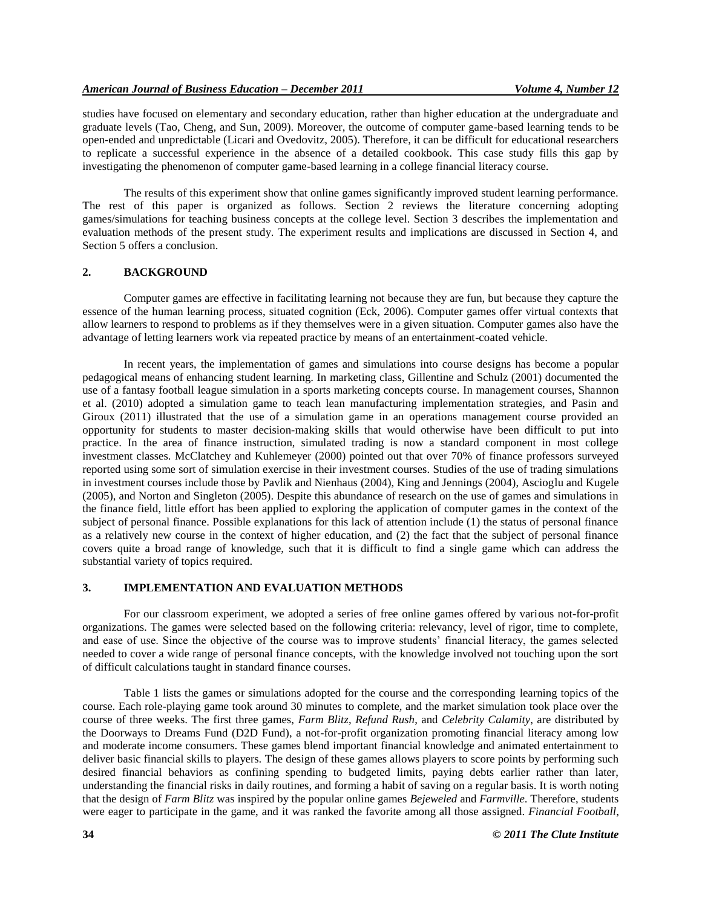studies have focused on elementary and secondary education, rather than higher education at the undergraduate and graduate levels (Tao, Cheng, and Sun, 2009). Moreover, the outcome of computer game-based learning tends to be open-ended and unpredictable (Licari and Ovedovitz, 2005). Therefore, it can be difficult for educational researchers to replicate a successful experience in the absence of a detailed cookbook. This case study fills this gap by investigating the phenomenon of computer game-based learning in a college financial literacy course.

The results of this experiment show that online games significantly improved student learning performance. The rest of this paper is organized as follows. Section 2 reviews the literature concerning adopting games/simulations for teaching business concepts at the college level. Section 3 describes the implementation and evaluation methods of the present study. The experiment results and implications are discussed in Section 4, and Section 5 offers a conclusion.

# **2. BACKGROUND**

Computer games are effective in facilitating learning not because they are fun, but because they capture the essence of the human learning process, situated cognition (Eck, 2006). Computer games offer virtual contexts that allow learners to respond to problems as if they themselves were in a given situation. Computer games also have the advantage of letting learners work via repeated practice by means of an entertainment-coated vehicle.

In recent years, the implementation of games and simulations into course designs has become a popular pedagogical means of enhancing student learning. In marketing class, Gillentine and Schulz (2001) documented the use of a fantasy football league simulation in a sports marketing concepts course. In management courses, Shannon et al. (2010) adopted a simulation game to teach lean manufacturing implementation strategies, and Pasin and Giroux (2011) illustrated that the use of a simulation game in an operations management course provided an opportunity for students to master decision-making skills that would otherwise have been difficult to put into practice. In the area of finance instruction, simulated trading is now a standard component in most college investment classes. McClatchey and Kuhlemeyer (2000) pointed out that over 70% of finance professors surveyed reported using some sort of simulation exercise in their investment courses. Studies of the use of trading simulations in investment courses include those by Pavlik and Nienhaus (2004), King and Jennings (2004), Ascioglu and Kugele (2005), and Norton and Singleton (2005). Despite this abundance of research on the use of games and simulations in the finance field, little effort has been applied to exploring the application of computer games in the context of the subject of personal finance. Possible explanations for this lack of attention include (1) the status of personal finance as a relatively new course in the context of higher education, and (2) the fact that the subject of personal finance covers quite a broad range of knowledge, such that it is difficult to find a single game which can address the substantial variety of topics required.

## **3. IMPLEMENTATION AND EVALUATION METHODS**

For our classroom experiment, we adopted a series of free online games offered by various not-for-profit organizations. The games were selected based on the following criteria: relevancy, level of rigor, time to complete, and ease of use. Since the objective of the course was to improve students' financial literacy, the games selected needed to cover a wide range of personal finance concepts, with the knowledge involved not touching upon the sort of difficult calculations taught in standard finance courses.

Table 1 lists the games or simulations adopted for the course and the corresponding learning topics of the course. Each role-playing game took around 30 minutes to complete, and the market simulation took place over the course of three weeks. The first three games, *Farm Blitz*, *Refund Rush*, and *Celebrity Calamity*, are distributed by the Doorways to Dreams Fund (D2D Fund), a not-for-profit organization promoting financial literacy among low and moderate income consumers. These games blend important financial knowledge and animated entertainment to deliver basic financial skills to players. The design of these games allows players to score points by performing such desired financial behaviors as confining spending to budgeted limits, paying debts earlier rather than later, understanding the financial risks in daily routines, and forming a habit of saving on a regular basis. It is worth noting that the design of *Farm Blitz* was inspired by the popular online games *Bejeweled* and *Farmville*. Therefore, students were eager to participate in the game, and it was ranked the favorite among all those assigned. *Financial Football*,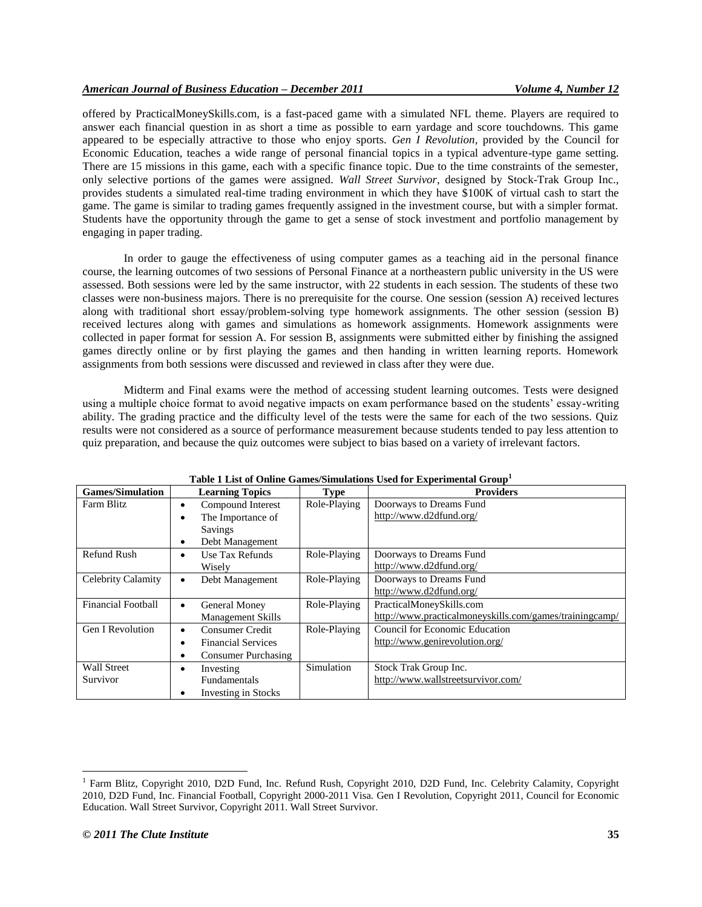offered by PracticalMoneySkills.com, is a fast-paced game with a simulated NFL theme. Players are required to answer each financial question in as short a time as possible to earn yardage and score touchdowns. This game appeared to be especially attractive to those who enjoy sports. *Gen I Revolution*, provided by the Council for Economic Education, teaches a wide range of personal financial topics in a typical adventure-type game setting. There are 15 missions in this game, each with a specific finance topic. Due to the time constraints of the semester, only selective portions of the games were assigned. *Wall Street Survivor*, designed by Stock-Trak Group Inc., provides students a simulated real-time trading environment in which they have \$100K of virtual cash to start the game. The game is similar to trading games frequently assigned in the investment course, but with a simpler format. Students have the opportunity through the game to get a sense of stock investment and portfolio management by engaging in paper trading.

In order to gauge the effectiveness of using computer games as a teaching aid in the personal finance course, the learning outcomes of two sessions of Personal Finance at a northeastern public university in the US were assessed. Both sessions were led by the same instructor, with 22 students in each session. The students of these two classes were non-business majors. There is no prerequisite for the course. One session (session A) received lectures along with traditional short essay/problem-solving type homework assignments. The other session (session B) received lectures along with games and simulations as homework assignments. Homework assignments were collected in paper format for session A. For session B, assignments were submitted either by finishing the assigned games directly online or by first playing the games and then handing in written learning reports. Homework assignments from both sessions were discussed and reviewed in class after they were due.

Midterm and Final exams were the method of accessing student learning outcomes. Tests were designed using a multiple choice format to avoid negative impacts on exam performance based on the students' essay-writing ability. The grading practice and the difficulty level of the tests were the same for each of the two sessions. Quiz results were not considered as a source of performance measurement because students tended to pay less attention to quiz preparation, and because the quiz outcomes were subject to bias based on a variety of irrelevant factors.

| Table 1 List of Olling Games/Shmulations Osca for Experimental Group |                                         |              |                                                         |  |  |  |  |
|----------------------------------------------------------------------|-----------------------------------------|--------------|---------------------------------------------------------|--|--|--|--|
| <b>Games/Simulation</b>                                              | <b>Learning Topics</b>                  | <b>Type</b>  | <b>Providers</b>                                        |  |  |  |  |
| Farm Blitz                                                           | Compound Interest<br>$\bullet$          | Role-Playing | Doorways to Dreams Fund                                 |  |  |  |  |
|                                                                      | The Importance of<br>$\bullet$          |              | http://www.d2dfund.org/                                 |  |  |  |  |
|                                                                      | <b>Savings</b>                          |              |                                                         |  |  |  |  |
|                                                                      | Debt Management<br>$\bullet$            |              |                                                         |  |  |  |  |
| Refund Rush                                                          | Use Tax Refunds<br>٠                    | Role-Playing | Doorways to Dreams Fund                                 |  |  |  |  |
|                                                                      | Wiselv                                  |              | http://www.d2dfund.org/                                 |  |  |  |  |
| Celebrity Calamity                                                   | Debt Management<br>$\bullet$            | Role-Playing | Doorways to Dreams Fund                                 |  |  |  |  |
|                                                                      |                                         |              | http://www.d2dfund.org/                                 |  |  |  |  |
| <b>Financial Football</b>                                            | <b>General Money</b><br>$\bullet$       | Role-Playing | PracticalMoneySkills.com                                |  |  |  |  |
|                                                                      | <b>Management Skills</b>                |              | http://www.practicalmoneyskills.com/games/trainingcamp/ |  |  |  |  |
| Gen I Revolution                                                     | Consumer Credit<br>$\bullet$            | Role-Playing | <b>Council for Economic Education</b>                   |  |  |  |  |
|                                                                      | <b>Financial Services</b><br>٠          |              | http://www.genirevolution.org/                          |  |  |  |  |
|                                                                      | <b>Consumer Purchasing</b><br>$\bullet$ |              |                                                         |  |  |  |  |
| <b>Wall Street</b>                                                   | Investing<br>$\bullet$                  | Simulation   | Stock Trak Group Inc.                                   |  |  |  |  |
| Survivor                                                             | <b>Fundamentals</b>                     |              | http://www.wallstreetsurvivor.com/                      |  |  |  |  |
|                                                                      | Investing in Stocks<br>٠                |              |                                                         |  |  |  |  |

# **Table 1 List of Online Games/Simulations Used for Experimental Group<sup>1</sup>**

 $\overline{a}$ 

<sup>1</sup> Farm Blitz, Copyright 2010, D2D Fund, Inc. Refund Rush, Copyright 2010, D2D Fund, Inc. Celebrity Calamity, Copyright 2010, D2D Fund, Inc. Financial Football, Copyright 2000-2011 Visa. Gen I Revolution, Copyright 2011, [Council for Economic](http://www.councilforeconed.org/)  [Education.](http://www.councilforeconed.org/) Wall Street Survivor, Copyright 2011. Wall Street Survivor.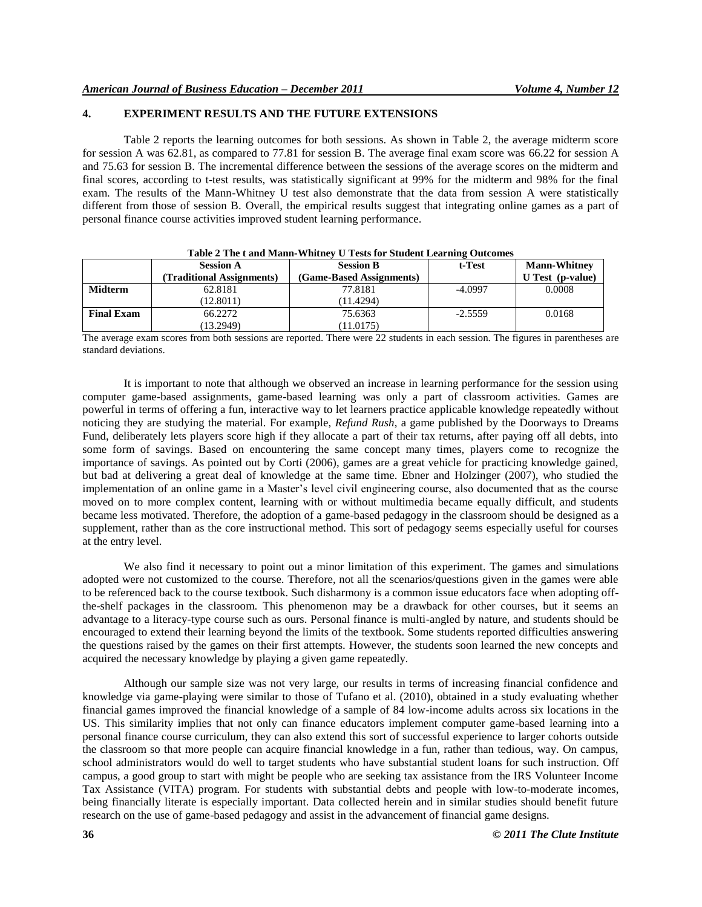# **4. EXPERIMENT RESULTS AND THE FUTURE EXTENSIONS**

Table 2 reports the learning outcomes for both sessions. As shown in Table 2, the average midterm score for session A was 62.81, as compared to 77.81 for session B. The average final exam score was 66.22 for session A and 75.63 for session B. The incremental difference between the sessions of the average scores on the midterm and final scores, according to t-test results, was statistically significant at 99% for the midterm and 98% for the final exam. The results of the Mann-Whitney U test also demonstrate that the data from session A were statistically different from those of session B. Overall, the empirical results suggest that integrating online games as a part of personal finance course activities improved student learning performance.

|                   | <b>Session A</b>          | <b>Session B</b>         | t-Test    | <b>Mann-Whitney</b> |
|-------------------|---------------------------|--------------------------|-----------|---------------------|
|                   | (Traditional Assignments) | (Game-Based Assignments) |           | U Test (p-value)    |
| <b>Midterm</b>    | 62.8181                   | 77.8181                  | $-4.0997$ | 0.0008              |
|                   | (12.8011)                 | (11.4294)                |           |                     |
| <b>Final Exam</b> | 66.2272                   | 75.6363                  | $-2.5559$ | 0.0168              |
|                   | (13.2949)                 | (11.0175)                |           |                     |

**Table 2 The t and Mann-Whitney U Tests for Student Learning Outcomes**

The average exam scores from both sessions are reported. There were 22 students in each session. The figures in parentheses are standard deviations.

It is important to note that although we observed an increase in learning performance for the session using computer game-based assignments, game-based learning was only a part of classroom activities. Games are powerful in terms of offering a fun, interactive way to let learners practice applicable knowledge repeatedly without noticing they are studying the material. For example, *Refund Rush*, a game published by the Doorways to Dreams Fund, deliberately lets players score high if they allocate a part of their tax returns, after paying off all debts, into some form of savings. Based on encountering the same concept many times, players come to recognize the importance of savings. As pointed out by Corti (2006), games are a great vehicle for practicing knowledge gained, but bad at delivering a great deal of knowledge at the same time. Ebner and Holzinger (2007), who studied the implementation of an online game in a Master's level civil engineering course, also documented that as the course moved on to more complex content, learning with or without multimedia became equally difficult, and students became less motivated. Therefore, the adoption of a game-based pedagogy in the classroom should be designed as a supplement, rather than as the core instructional method. This sort of pedagogy seems especially useful for courses at the entry level.

We also find it necessary to point out a minor limitation of this experiment. The games and simulations adopted were not customized to the course. Therefore, not all the scenarios/questions given in the games were able to be referenced back to the course textbook. Such disharmony is a common issue educators face when adopting offthe-shelf packages in the classroom. This phenomenon may be a drawback for other courses, but it seems an advantage to a literacy-type course such as ours. Personal finance is multi-angled by nature, and students should be encouraged to extend their learning beyond the limits of the textbook. Some students reported difficulties answering the questions raised by the games on their first attempts. However, the students soon learned the new concepts and acquired the necessary knowledge by playing a given game repeatedly.

Although our sample size was not very large, our results in terms of increasing financial confidence and knowledge via game-playing were similar to those of Tufano et al. (2010), obtained in a study evaluating whether financial games improved the financial knowledge of a sample of 84 low-income adults across six locations in the US. This similarity implies that not only can finance educators implement computer game-based learning into a personal finance course curriculum, they can also extend this sort of successful experience to larger cohorts outside the classroom so that more people can acquire financial knowledge in a fun, rather than tedious, way. On campus, school administrators would do well to target students who have substantial student loans for such instruction. Off campus, a good group to start with might be people who are seeking tax assistance from the IRS Volunteer Income Tax Assistance (VITA) program. For students with substantial debts and people with low-to-moderate incomes, being financially literate is especially important. Data collected herein and in similar studies should benefit future research on the use of game-based pedagogy and assist in the advancement of financial game designs.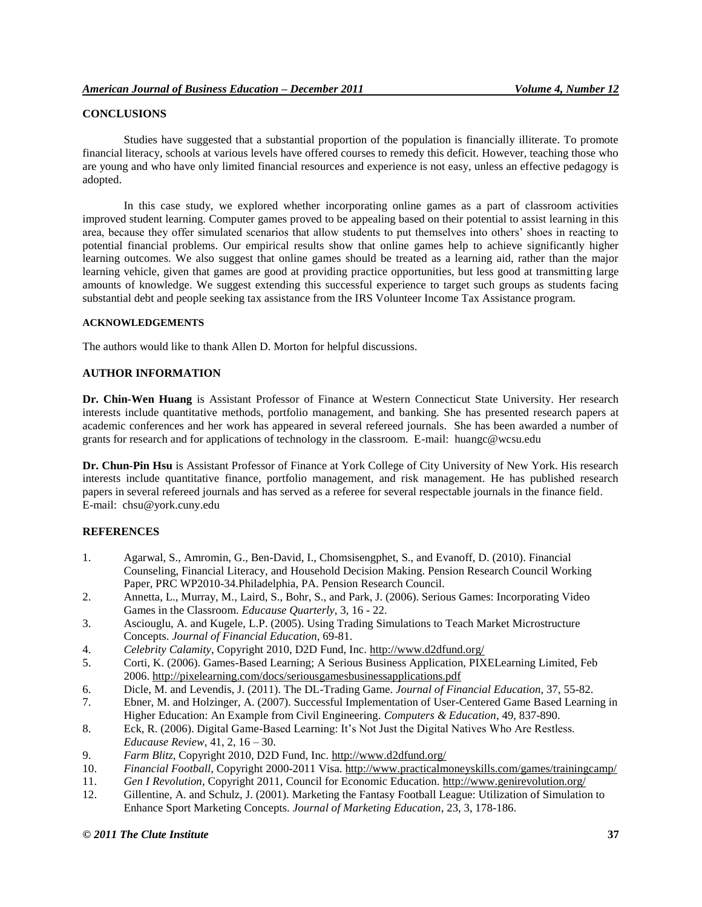## **CONCLUSIONS**

Studies have suggested that a substantial proportion of the population is financially illiterate. To promote financial literacy, schools at various levels have offered courses to remedy this deficit. However, teaching those who are young and who have only limited financial resources and experience is not easy, unless an effective pedagogy is adopted.

In this case study, we explored whether incorporating online games as a part of classroom activities improved student learning. Computer games proved to be appealing based on their potential to assist learning in this area, because they offer simulated scenarios that allow students to put themselves into others' shoes in reacting to potential financial problems. Our empirical results show that online games help to achieve significantly higher learning outcomes. We also suggest that online games should be treated as a learning aid, rather than the major learning vehicle, given that games are good at providing practice opportunities, but less good at transmitting large amounts of knowledge. We suggest extending this successful experience to target such groups as students facing substantial debt and people seeking tax assistance from the IRS Volunteer Income Tax Assistance program.

## **ACKNOWLEDGEMENTS**

The authors would like to thank Allen D. Morton for helpful discussions.

## **AUTHOR INFORMATION**

**Dr. Chin-Wen Huang** is Assistant Professor of Finance at Western Connecticut State University. Her research interests include quantitative methods, portfolio management, and banking. She has presented research papers at academic conferences and her work has appeared in several refereed journals. She has been awarded a number of grants for research and for applications of technology in the classroom. E-mail: huangc@wcsu.edu

**Dr. Chun-Pin Hsu** is Assistant Professor of Finance at York College of City University of New York. His research interests include quantitative finance, portfolio management, and risk management. He has published research papers in several refereed journals and has served as a referee for several respectable journals in the finance field. E-mail: chsu@york.cuny.edu

## **REFERENCES**

- 1. Agarwal, S., Amromin, G., Ben-David, I., Chomsisengphet, S., and Evanoff, D. (2010). Financial Counseling, Financial Literacy, and Household Decision Making. Pension Research Council Working Paper, PRC WP2010-34.Philadelphia, PA. Pension Research Council.
- 2. Annetta, L., Murray, M., Laird, S., Bohr, S., and Park, J. (2006). Serious Games: Incorporating Video Games in the Classroom. *Educause Quarterly*, 3, 16 - 22.
- 3. Asciouglu, A. and Kugele, L.P. (2005). Using Trading Simulations to Teach Market Microstructure Concepts. *Journal of Financial Education*, 69-81.
- 4. *Celebrity Calamity*, Copyright 2010, D2D Fund, Inc. http://www.d2dfund.org/
- 5. Corti, K. (2006). Games-Based Learning; A Serious Business Application, PIXELearning Limited, Feb 2006. http://pixelearning.com/docs/seriousgamesbusinessapplications.pdf
- 6. Dicle, M. and Levendis, J. (2011). The DL-Trading Game. *Journal of Financial Education*, 37, 55-82.
- 7. Ebner, M. and Holzinger, A. (2007). Successful Implementation of User-Centered Game Based Learning in Higher Education: An Example from Civil Engineering. *Computers & Education*, 49, 837-890.
- 8. Eck, R. (2006). Digital Game-Based Learning: It's Not Just the Digital Natives Who Are Restless. *Educause Review*, 41, 2, 16 – 30.
- 9. *Farm Blitz*, Copyright 2010, D2D Fund, Inc.<http://www.d2dfund.org/>
- 10. *Financial Football*, Copyright 2000-2011 Visa. http://www.practicalmoneyskills.com/games/trainingcamp/
- 11. *Gen I Revolution*, Copyright 2011, [Council for Economic Education.](http://www.councilforeconed.org/) http://www.genirevolution.org/
- 12. Gillentine, A. and Schulz, J. (2001). Marketing the Fantasy Football League: Utilization of Simulation to Enhance Sport Marketing Concepts. *Journal of Marketing Education*, 23, 3, 178-186.

#### *© 2011 The Clute Institute* **37**